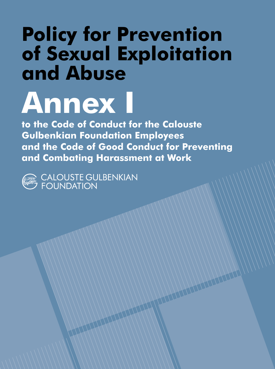## Policy for Prevention of Sexual Exploitation and Abuse

# Annex I

to the Code of Conduct for the Calouste Gulbenkian Foundation Employees and the Code of Good Conduct for Preventing and Combating Harassment at Work



) CALOUSTE GULBENKIAN<br>7 FOUNDATION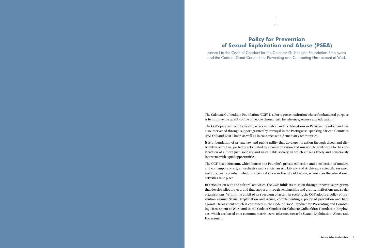#### Policy for Prevention of Sexual Exploitation and Abuse (PSEA)

Annex I to the Code of Conduct for the Calouste Gulbenkian Foundation Employees and the Code of Good Conduct for Preventing and Combating Harassment at Work

The Calouste Gulbenkian Foundation (CGF) is a Portuguese institution whose fundamental purpose is to improve the quality of life of people through art, beneficence, science and education.

The CGF operates from its headquarters in Lisbon and its delegations in Paris and London, and has also intervened through support granted by Portugal in the Portuguese-speaking African Countries (PALOP) and East Timor, as well as in countries with Armenian Communities.

It is a foundation of private law and public utility that develops its action through direct and distributive activities, perfectly articulated by a common vision and mission: to contribute to the construction of a more just, solidary and sustainable society, in which citizens freely and consciously intervene with equal opportunities.

The CGF has a Museum, which houses the Founder's private collection and a collection of modern and contemporary art; an orchestra and a choir; an Art Library and Archives; a scientific research institute; and a garden, which is a central space in the city of Lisbon, where also the educational activities take place.

In articulation with the cultural activities, the CGF fulfils its mission through innovative programs that develop pilot projects and that support, through scholarships and grants, institutions and social organisations. Within the ambit of its spectrum of action in society, the CGF adopts a policy of prevention against Sexual Exploitation and Abuse, complementing a policy of prevention and fight against Harassment which is contained in the Code of Good Conduct for Preventing and Combating Harassment at Work and in the Code of Conduct for Calouste Gulbenkian Foundation Employees, which are based on a common matrix: zero-tolerance towards Sexual Exploitation, Abuse and Harassment.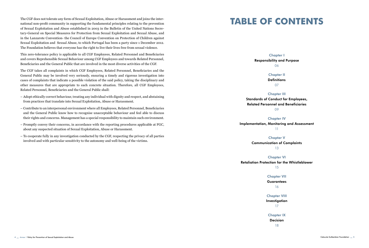The CGF does not tolerate any form of Sexual Exploitation, Abuse or Harassment and joins the international non-profit community in supporting the fundamental principles relating to the prevention of Sexual Exploitation and Abuse established in 2003 in the Bulletin of the United Nations Secretary-General on Special Measures for Protection from Sexual Exploitation and Sexual Abuse, and in the Lanzarote Convention- the Council of Europe Convention on Protection of Children against Sexual Exploitation and Sexual Abuse, to which Portugal has been a party since 1 December 2012. The Foundation believes that everyone has the right to live their lives free from sexual violence.

This zero-tolerance policy is applicable to all CGF Employees, Related Personnel and Beneficiaries and covers Reprehensible Sexual Behaviour among CGF Employees and towards Related Personnel, Beneficiaries and the General Public that are involved in the most diverse activities of the CGF.

The CGF takes all complaints in which CGF Employees, Related Personnel, Beneficiaries and the General Public may be involved very seriously, ensuring a timely and rigorous investigation into cases of complaints that indicate a possible violation of the said policy, taking the disciplinary and other measures that are appropriate to each concrete situation. Therefore, all CGF Employees, Related Personnel, Beneficiaries and the General Public shall:

- Adopt ethically correct behaviour, treating any individual with dignity and respect, and abstaining from practices that translate into Sexual Exploitation, Abuse or Harassment.
- Contribute to an interpersonal environment where all Employees, Related Personnel, Beneficiaries and the General Public know how to recognise unacceptable behaviour and feel able to discuss their rights and concerns. Management has a special responsibility to maintain such environment.
- Promptly convey their concerns, in accordance with the reporting procedures applicable at FGC, about any suspected situation of Sexual Exploitation, Abuse or Harassment.
- To cooperate fully in any investigation conducted by the CGF, respecting the privacy of all parties involved and with particular sensitivity to the autonomy and well-being of the victims.

### TABLE OF CONTENTS

#### **Chapter I**

**Responsibility and Purpose** 06

> **Chapter II Definitions** 07

**Chapter III**

**Standards of Conduct for Employees, Related Personnel and Beneficiaries** 09

**Chapter IV Implementation, Monitoring and Assessment** 11

> **Chapter V Communication of Complaints** 13

**Chapter VI Retaliation Protection for the Whistleblower**

15

**Chapter VII Guarantees**

16

**Chapter VIII Investigation** 17

**Chapter IX Decision** 18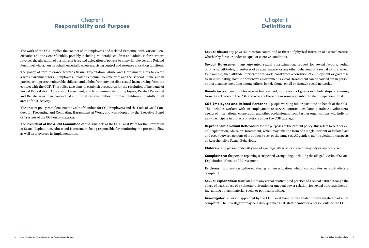#### Chapter I Responsibility and Purpose

#### Chapter II **Definitions**

The work of the CGF implies the contact of its Employees and Related Personnel with various Beneficiaries and the General Public, possibly including vulnerable children and adults. It furthermore involves the allocation of positions of trust and delegation of powers to many Employees and Related Personnel who act on its behalf, especially when exercising control and resource allocation functions.

The policy of zero-tolerance towards Sexual Exploitation, Abuse and Harassment aims to create a safe environment for all Employees, Related Personnel, Beneficiaries and the General Public, and in particular to protect vulnerable children and adults from any possible sexual harm arising from the contact with the CGF. This policy also aims to establish procedures for the resolution of incidents of Sexual Exploitation, Abuse and Harassment, and to communicate to Employees, Related Personnel and Beneficiaries their contractual and moral responsibilities to protect children and adults in all areas of CGF activity.

The present policy complements the Code of Conduct for CGF Employees and the Code of Good Conduct for Preventing and Combating Harassment at Work, and was adopted by the Executive Board of Trustees of the CGF on 04.02.2021.

The President of the Audit Committee of the CGF acts as the CGF Focal Point for the Prevention of Sexual Exploitation, Abuse and Harassment, being responsible for monitoring the present policy, as well as to oversee its implementation.

**Sexual Abuse:** any physical intrusion committed or threat of physical intrusion of a sexual nature, whether by force or under unequal or coercive conditions.

**Sexual Harassment:** any unwanted sexual approximation, request for sexual favours, verbal or physical attitudes, or gestures of a sexual nature, or any other behaviour of a sexual nature, when, for example, such attitude interferes with work, constitutes a condition of employment or gives rise to an intimidating, hostile or offensive environment. Sexual Harassment can be carried out in person or at a distance, including among others, by telephone, email or through social networks.

**Beneficiaries:** persons who receive financial aid, in the form of grants or scholarships, stemming from the activities of the CGF and who are therefore in some way subordinate or dependent on it.

CGF Employees and Related Personnel: people working full or part time on behalf of the CGF. This includes workers with an employment or service contract, scholarship trainees, volunteers, agents of international cooperation and other professionals from Partner organisations who individually participate in projects or actions under the CGF tutelage.

**Reprehensible Sexual Behaviour:** for the purposes of the present policy, this refers to acts of Sexual Exploitation, Abuse or Harassment, which may take the form of a single incident or isolated act and occur between persons of the opposite sex or the same sex. All genders may be victims or suspects of Reprehensible Sexual Behaviour.

Children: any person under 18 years of age, regardless of local age of majority or age of consent.

**Complainant:** the person reporting a suspected wrongdoing, including the alleged Victim of Sexual Exploitation, Abuse and Harassment.

Evidence: information gathered during an investigation which corroborates or contradicts a complaint.

**Sexual Exploitation:** translates into any actual or attempted practice of a sexual nature through the abuse of trust, abuse of a vulnerable situation or unequal power relation, for sexual purposes, including, among others, material, social or political profiting.

**Investigator:** a person appointed by the CGF Focal Point or designated to investigate a particular complaint. The Investigator may be a duly qualified CGF staff member or a person outside the CGF.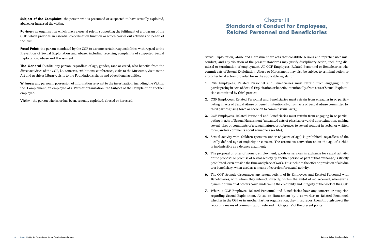**Subject of the Complaint:** the person who is presumed or suspected to have sexually exploited, abused or harassed the victim.

**Partner:** an organisation which plays a crucial role in supporting the fulfilment of a program of the CGF, which provides an essential co-ordination function or which carries out activities on behalf of the CGF.

Focal Point: the person mandated by the CGF to assume certain responsibilities with regard to the Prevention of Sexual Exploitation and Abuse, including receiving complaints of suspected Sexual Exploitation, Abuse and Harassment.

**The General Public:** any person, regardless of age, gender, race or creed, who benefits from the direct activities of the CGF, i.e. concerts, exhibitions, conferences, visits to the Museums, visits to the Art and Archives Library, visits to the Foundation's shops and educational activities.

Witness: any person in possession of information relevant to the investigation, including the Victim, the Complainant, an employee of a Partner organisation, the Subject of the Complaint or another employee.

**Victim:** the person who is, or has been, sexually exploited, abused or harassed.

#### Chapter III Standards of Conduct for Employees, Related Personnel and Beneficiaries

Sexual Exploitation, Abuse and Harassment are acts that constitute serious and reprehensible misconduct, and any violation of the present standards may justify disciplinary action, including dismissal or termination of employment. All CGF Employees, Related Personnel or Beneficiaries who commit acts of Sexual Exploitation, Abuse or Harassment may also be subject to criminal action or any other legal action provided for in the applicable legislation.

- 1. CGF Employees, Related Personnel and Beneficiaries must refrain from engaging in or participating in acts of Sexual Exploitation or benefit, intentionally, from acts of Sexual Exploitation committed by third parties;
- 2. CGF Employees, Related Personnel and Beneficiaries must refrain from engaging in or participating in acts of Sexual Abuse or benefit, intentionally, from acts of Sexual Abuse committed by third parties (using force or coercion to commit sexual acts);
- 3. CGF Employees, Related Personnel and Beneficiaries must refrain from engaging in or participating in acts of Sexual Harassment (unwanted acts of physical or verbal approximation, making sexual jokes or comments of a sexual nature, or references to sexual conduct in verbal or written form, and/or comments about someone's sex life);
- 4. Sexual activity with children (persons under 18 years of age) is prohibited, regardless of the locally defined age of majority or consent. The erroneous conviction about the age of a child is inadmissible as a defence argument;
- 5. The proposal or offer of money, employment, goods or services in exchange for sexual activity, or the proposal or promise of sexual activity by another person as part of that exchange, is strictly prohibited, even outside the time and place of work. This includes the offer or provision of aid due to a beneficiary, when used as a means of coercion for sexual activity.
- 6. The CGF strongly discourages any sexual activity of its Employees and Related Personnel with Beneficiaries, with whom they interact, directly, within the ambit of aid received, whenever a dynamic of unequal powers could undermine the credibility and integrity of the work of the CGF.
- 7. Where a CGF Employee, Related Personnel and Beneficiaries have any concern or suspicion regarding Sexual Exploitation, Abuse or Harassment by a co-worker or Related Personnel, whether in the CGF or in another Partner organisation, they must report them through one of the reporting means of communication referred in Chapter V of the present policy.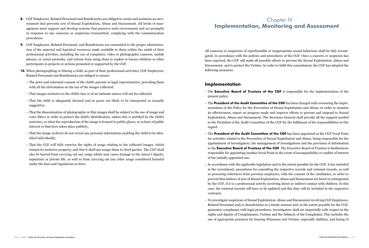- 8. CGF Employees, Related Personnel and Beneficiaries are obliged to create and maintain an environment that prevents acts of Sexual Exploitation, Abuse and Harassment. All levels of management must support and develop systems that preserve such environment and act promptly in response to any concerns or suspicions transmitted, complying with the communication procedures.
- 9. CGF Employees, Related Personnel, and Beneficiaries are committed to the proper administration of the material and logistical resources made available to them within the ambit of their professional activities, including the use of computers, video or photographic cameras, mobile phones, or social networks, and refrain from using them to exploit or harass children or other participants in projects or actions promoted or supported by the CGF.
- 10. When photographing or filming a child, as part of their professional activities, CGF Employees, Related Personnel and Beneficiaries are obliged to ensure:
	- The prior and informed consent of the child's parents or legal representative, providing them with all the information on the use of the images collected;
	- That images exclusive to the child's face or of an intimate nature will not be collected;
	- That the child is adequately dressed and in poses not likely to be interpreted as sexually suggestive;
	- That the dissemination of photographic or film images shall be subject to the use of image and voice filters in order to protect the child's identification, unless this is justified by the child's notoriety, or when the reproduction of the image is framed in public places, or in facts of public interest or that have taken place publicly;
	- That the image archives do not reveal any personal information enabling the child to be identified individually;
	- That the CGF will fully exercise the rights of usage relating to the collected images, which remain its exclusive property, and that it shall not assign them to third parties. The CGF shall also be barred from carrying out any usage which may cause damage to the minor's dignity, reputation or private life, as well as from carrying out any other usage considered harmful under the laws and regulations in force.

#### Chapter IV Implementation, Monitoring and Assessment

All concerns or suspicions of reprehensible or inappropriate sexual behaviour shall be duly investigated, in accordance with the policies and procedures of the CGF. Once a concern or suspicion has been reported, the CGF will make all possible efforts to prevent the Sexual Exploitation, Abuse and Harassment, and to protect the Victims. In order to fulfil this commitment, the CGF has adopted the following measures:

#### Implementation

- $-$  The Executive Board of Trustees of the CGF is responsible for the implementation of the present policy.
- $-$  The President of the Audit Committee of the CGF has been charged with overseeing the implementation of the Policy for the Prevention of Sexual Exploitation and Abuse, in order to monitor its effectiveness, report on progress made and improve efforts to prevent and respond to Sexual Exploitation, Abuse and Harassment. The Secretary-General shall provide all the support needed to the President of the Audit Committee of the CGF for the fulfilment of his responsibilities in this regard.
- $-$  The President of the Audit Committee of the CGF has been appointed as the CGF Focal Point for activities related to the Prevention of Sexual Exploitation and Abuse, being responsible for the appointment of Investigators, the management of investigations and the provision of information to the Executive Board of Trustees of the CGF. The Executive Board of Trustees is furthermore responsible for appointing another Focal Point in the event of incompatibility or conflict of interest of the initially appointed one.
- In accordance with the applicable legislation and to the extent possible for the CGF, it has included in the recruitment, procedures for consulting the respective records and criminal records, as well as procuring references from previous employers, with the consent of the candidates, in order to prevent that authors of acts of Sexual Exploitation, Abuse and Harassment are hired or reintegrated by the CGF, if it is a professional activity involving direct or indirect contact with children. In this case, the criminal records will have to be updated and this duty will be included in the respective contracts.
- To investigate suspicions of Sexual Exploitation, Abuse and Harassment involving CGF Employees, Related Personnel and/or Beneficiaries in a timely manner and, to the extent possible for the CGF, guarantee compliance with legal procedures. Investigators shall act impartially with respect to the rights and dignity of Complainants, Victims and the Subjects of the Complaints. This includes the use of appropriate practices for hearing Witnesses and Victims, especially children, and hiring of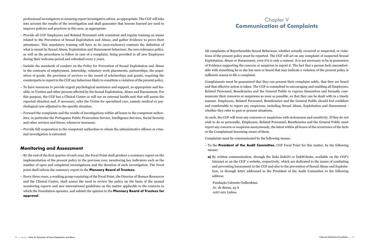professional investigators or ensuring expert investigative advice, as appropriate. The CGF will take into account the results of the investigation and shall guarantee that lessons learned are used to improve policies and practices in this area, as appropriate.

- Provide all CGF Employees and Related Personnel with consistent and regular training on issues related to the Prevention of Sexual Exploitation and Abuse, and gather Evidence to prove their attendance. This mandatory training will have as its (non-exclusive) contents the definition of what is meant by Sexual Abuse, Exploitation and Harassment behaviour, the zero-tolerance policy, as well as the procedures to follow in case of a complaint, being provided to all new Employees during their welcome period and refreshed every 2 years.
- Include the standards of conduct on the Policy for Prevention of Sexual Exploitation and Abuse in the contracts of employment, internship, voluntary work placements, partnerships, the acquisition of goods, the provision of services or the award of scholarships and grants, requiring the counterparts to report to the CGF any behaviour likely to constitute a violation of the present policy.
- To have resources to provide urgent psychological assistance and support, as appropriate and feasible, to Victims and other persons affected by the Sexual Exploitation, Abuse and Harassment. For this purpose, the CGF has a Clinical Centre or will use an external health unit that will assess the reported situation and, if necessary, refer the Victim for specialised care, namely medical or psychological care adjusted to the specific situation.
- Forward the complaints and the results of investigations within 48 hours to the competent authorities, in particular the Portuguese Public Prosecution Service, Intelligence Services, Social Security and other services and forces, whenever necessary.
- Provide full cooperation to the competent authorities to whom the administrative offence or criminal investigation is entrusted.

#### Monitoring and Assessment

- By the end of the first quarter of each year, the Focal Point shall produce a summary report on the implementation of the present policy in the previous year, monitoring key indicators such as the number of open and completed investigations and the duration of each investigation. The Focal point shall inform the summary report to the Plennary Board of Trustees.
- Every three years, a working group consisting of the Focal Point, the Director of Human Resources and the Clinical Centre, shall assess the need to review the policy on the basis of the annual monitoring reports and new international guidelines on the matter applicable to the contexts in which the Foundation operates, and submit the opinion to the Plennary Board of Trustees for approval.

#### Chapter V Communication of Complaints

All complaints of Reprehensible Sexual Behaviour, whether actually occurred or suspected, or violations of the present policy must be reported. The CGF will act on any complaint of suspected Sexual Exploitation, Abuse or Harassment, even if it is only a rumour. It is not necessary to be in possession of Evidence supporting the concern or suspicion to report it. The fact that a person feels uncomfortable with something he or she has seen or heard that may indicate a violation of the present policy is sufficient reason to file a complaint.

Complainants must be guaranteed that they can present their complaint safely, that they are heard and that effective action is taken. The CGF is committed to encouraging and enabling all Employees, Related Personnel, Beneficiaries and the General Public to express themselves and formally communicate their concerns or suspicions as soon as possible, so that they can be dealt with in a timely manner. Employees, Related Personnel, Beneficiaries and the General Public should feel confident and comfortable to report any suspicions, including Sexual Abuse, Exploitation and Harassment whether they refer to past or present situations.

As such, the CGF will treat any concerns or suspicions with seriousness and sensitivity. If they do not wish to do so personally, Employees, Related Personnel, Beneficiaries and the General Public must report any concern or suspicion anonymously, the latest within 48 hours of the occurrence of the facts or the Complainant becoming aware of them.

Complaints must be communicated by the following means:

- $-$  To the **President of the Audit Committee**, CGF Focal Point for this matter, by the following means:
- a) By written communication, through the links [linkGO](https://gulbenkian365.sharepoint.com/_forms/default.aspx) or [linkWebsite](https://gulbenkian.pt/en/prevention-policies/), available on the CGF's Intranet or on the CGF´s website, respectively, which are dedicated to the issues of combating and preventing harassment in the CGF and also to the prevention of Sexual Abuse and Exploitation, or through letter addressed to the President of the Audit Committee to the following address:

Fundação Calouste Gulbenkian Av. de Berna, 45 A 1067-001 Lisboa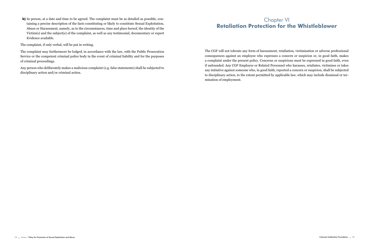b) In person, at a date and time to be agreed. The complaint must be as detailed as possible, containing a precise description of the facts constituting or likely to constitute Sexual Exploitation, Abuse or Harassment, namely, as to the circumstances, time and place hereof, the identity of the Victim(s) and the subject(s) of the complaint, as well as any testimonial, documentary or expert Evidence available.

The complaint, if only verbal, will be put in writing.

The complaint may furthermore be lodged, in accordance with the law, with the Public Prosecution Service or the competent criminal police body in the event of criminal liability and for the purposes of criminal proceedings.

Any person who deliberately makes a malicious complaint (e.g. false statements) shall be subjected to disciplinary action and/or criminal action.

#### Chapter VI Retaliation Protection for the Whistleblower

The CGF will not tolerate any form of harassment, retaliation, victimisation or adverse professional consequences against an employee who expresses a concern or suspicion or, in good faith, makes a complaint under the present policy. Concerns or suspicions must be expressed in good faith, even if unfounded. Any CGF Employee or Related Personnel who harasses, retaliates, victimises or takes any initiative against someone who, in good faith, reported a concern or suspicion, shall be subjected to disciplinary action, to the extent permitted by applicable law, which may include dismissal or termination of employment.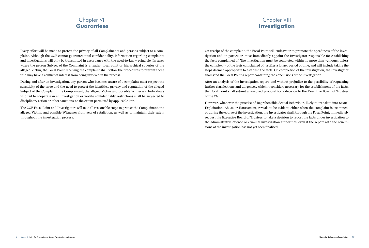#### Chapter VII Guarantees

#### Chapter VIII Investigation

Every effort will be made to protect the privacy of all Complainants and persons subject to a complaint. Although the CGF cannot guarantee total confidentiality, information regarding complaints and investigations will only be transmitted in accordance with the need-to-know principle. In cases where the person Subject of the Complaint is a leader, focal point or hierarchical superior of the alleged Victim, the Focal Point receiving the complaint shall follow the procedures to prevent those who may have a conflict of interest from being involved in the process.

During and after an investigation, any person who becomes aware of a complaint must respect the sensitivity of the issue and the need to protect the identities, privacy and reputation of the alleged Subject of the Complaint, the Complainant, the alleged Victim and possible Witnesses. Individuals who fail to cooperate in an investigation or violate confidentiality restrictions shall be subjected to disciplinary action or other sanctions, to the extent permitted by applicable law.

The CGF Focal Point and Investigators will take all reasonable steps to protect the Complainant, the alleged Victim, and possible Witnesses from acts of retaliation, as well as to maintain their safety throughout the investigation process.

On receipt of the complaint, the Focal Point will endeavour to promote the speediness of the investigation and, in particular, must immediately appoint the Investigator responsible for establishing the facts complained of. The investigation must be completed within no more than 72 hours, unless the complexity of the facts complained of justifies a longer period of time, and will include taking the steps deemed appropriate to establish the facts. On completion of the investigation, the Investigator shall send the Focal Point a report containing the conclusions of the investigation.

After an analysis of the investigation report, and without prejudice to the possibility of requesting further clarifications and diligences, which it considers necessary for the establishment of the facts, the Focal Point shall submit a reasoned proposal for a decision to the Executive Board of Trustees of the CGF.

However, whenever the practice of Reprehensible Sexual Behaviour, likely to translate into Sexual Exploitation, Abuse or Harassment, reveals to be evident, either when the complaint is examined, or during the course of the investigation, the Investigator shall, through the Focal Point, immediately request the Executive Board of Trustees to take a decision to report the facts under investigation to the administrative offence or criminal investigation authorities, even if the report with the conclusions of the investigation has not yet been finalised.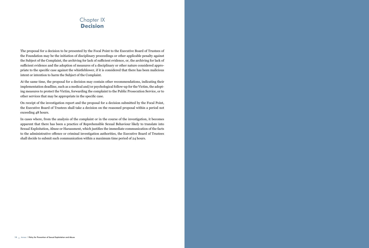#### Chapter IX Decision

The proposal for a decision to be presented by the Focal Point to the Executive Board of Trustees of the Foundation may be the initiation of disciplinary proceedings or other applicable penalty against the Subject of the Complaint, the archiving for lack of sufficient evidence, or, the archiving for lack of sufficient evidence and the adoption of measures of a disciplinary or other nature considered appropriate to the specific case against the whistleblower, if it is considered that there has been malicious intent or intention to harm the Subject of the Complaint.

At the same time, the proposal for a decision may contain other recommendations, indicating their implementation deadline, such as a medical and/or psychological follow-up for the Victim, the adopting measures to protect the Victim, forwarding the complaint to the Public Prosecution Service, or to other services that may be appropriate in the specific case.

On receipt of the investigation report and the proposal for a decision submitted by the Focal Point, the Executive Board of Trustees shall take a decision on the reasoned proposal within a period not exceeding 48 hours.

In cases where, from the analysis of the complaint or in the course of the investigation, it becomes apparent that there has been a practice of Reprehensible Sexual Behaviour likely to translate into Sexual Exploitation, Abuse or Harassment, which justifies the immediate communication of the facts to the administrative offence or criminal investigation authorities, the Executive Board of Trustees shall decide to submit such communication within a maximum time period of 24 hours.